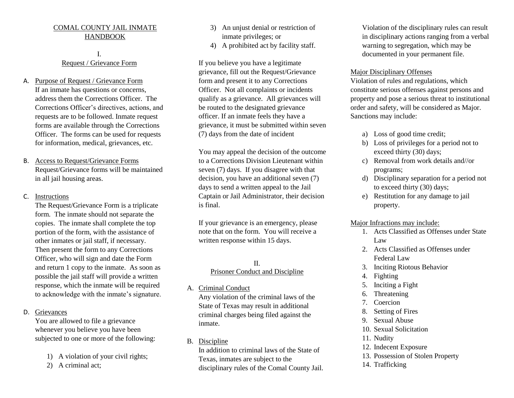### COMAL COUNTY JAIL INMATE HANDBOOK

### I. Request / Grievance Form

- A. Purpose of Request / Grievance Form If an inmate has questions or concerns, address them the Corrections Officer. The Corrections Officer's directives, actions, and requests are to be followed. Inmate request forms are available through the Corrections Officer. The forms can be used for requests for information, medical, grievances, etc.
- B. Access to Request/Grievance Forms Request/Grievance forms will be maintained in all jail housing areas.
- C. Instructions

The Request/Grievance Form is a triplicate form. The inmate should not separate the copies. The inmate shall complete the top portion of the form, with the assistance of other inmates or jail staff, if necessary. Then present the form to any Corrections Officer, who will sign and date the Form and return 1 copy to the inmate. As soon as possible the jail staff will provide a written response, which the inmate will be required to acknowledge with the inmate's signature.

D. Grievances

You are allowed to file a grievance whenever you believe you have been subjected to one or more of the following:

- 1) A violation of your civil rights;
- 2) A criminal act;
- 3) An unjust denial or restriction of inmate privileges; or
- 4) A prohibited act by facility staff.

If you believe you have a legitimate grievance, fill out the Request/Grievance form and present it to any Corrections Officer. Not all complaints or incidents qualify as a grievance. All grievances will be routed to the designated grievance officer. If an inmate feels they have a grievance, it must be submitted within seven (7) days from the date of incident

You may appeal the decision of the outcome to a Corrections Division Lieutenant within seven (7) days. If you disagree with that decision, you have an additional seven (7) days to send a written appeal to the Jail Captain or Jail Administrator, their decision is final.

If your grievance is an emergency, please note that on the form. You will receive a written response within 15 days.

## II. Prisoner Conduct and Discipline

A. Criminal Conduct

Any violation of the criminal laws of the State of Texas may result in additional criminal charges being filed against the inmate.

B. Discipline

In addition to criminal laws of the State of Texas, inmates are subject to the disciplinary rules of the Comal County Jail.

Violation of the disciplinary rules can result in disciplinary actions ranging from a verbal warning to segregation, which may be documented in your permanent file.

### Major Disciplinary Offenses

Violation of rules and regulations, which constitute serious offenses against persons and property and pose a serious threat to institutional order and safety, will be considered as Major. Sanctions may include:

- a) Loss of good time credit;
- b) Loss of privileges for a period not to exceed thirty (30) days;
- c) Removal from work details and//or programs;
- d) Disciplinary separation for a period not to exceed thirty (30) days;
- e) Restitution for any damage to jail property.

### Major Infractions may include:

- 1. Acts Classified as Offenses under State Law
- 2. Acts Classified as Offenses under Federal Law
- 3. Inciting Riotous Behavior
- 4. Fighting
- 5. Inciting a Fight
- 6. Threatening
- 7. Coercion
- 8. Setting of Fires
- 9. Sexual Abuse
- 10. Sexual Solicitation
- 11. Nudity
- 12. Indecent Exposure
- 13. Possession of Stolen Property
- 14. Trafficking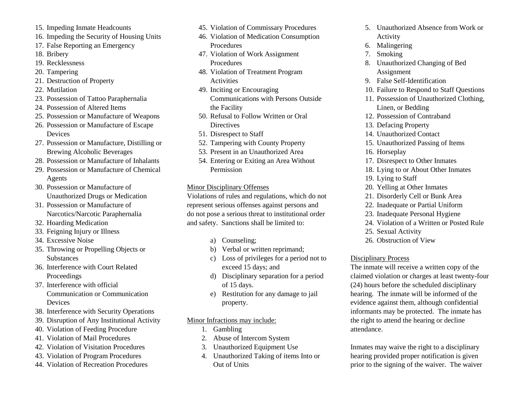- 15. Impeding Inmate Headcounts
- 16. Impeding the Security of Housing Units
- 17. False Reporting an Emergency
- 18. Bribery
- 19. Recklessness
- 20. Tampering
- 21. Destruction of Property
- 22. Mutilation
- 23. Possession of Tattoo Paraphernalia
- 24. Possession of Altered Items
- 25. Possession or Manufacture of Weapons
- 26. Possession or Manufacture of Escape **Devices**
- 27. Possession or Manufacture, Distilling or Brewing Alcoholic Beverages
- 28. Possession or Manufacture of Inhalants
- 29. Possession or Manufacture of Chemical Agents
- 30. Possession or Manufacture of Unauthorized Drugs or Medication
- 31. Possession or Manufacture of Narcotics/Narcotic Paraphernalia
- 32. Hoarding Medication
- 33. Feigning Injury or Illness
- 34. Excessive Noise
- 35. Throwing or Propelling Objects or **Substances**
- 36. Interference with Court Related Proceedings
- 37. Interference with official Communication or Communication Devices
- 38. Interference with Security Operations
- 39. Disruption of Any Institutional Activity
- 40. Violation of Feeding Procedure
- 41. Violation of Mail Procedures
- 42. Violation of Visitation Procedures
- 43. Violation of Program Procedures
- 44. Violation of Recreation Procedures
- 45. Violation of Commissary Procedures
- 46. Violation of Medication Consumption **Procedures**
- 47. Violation of Work Assignment **Procedures**
- 48. Violation of Treatment Program Activities
- 49. Inciting or Encouraging Communications with Persons Outside the Facility
- 50. Refusal to Follow Written or Oral **Directives**
- 51. Disrespect to Staff
- 52. Tampering with County Property
- 53. Present in an Unauthorized Area
- 54. Entering or Exiting an Area Without Permission
- Minor Disciplinary Offenses

Violations of rules and regulations, which do not represent serious offenses against persons and do not pose a serious threat to institutional order and safety. Sanctions shall be limited to:

- a) Counseling;
- b) Verbal or written reprimand;
- c) Loss of privileges for a period not to exceed 15 days; and
- d) Disciplinary separation for a period of 15 days.
- e) Restitution for any damage to jail property.

## Minor Infractions may include:

- 1. Gambling
- 2. Abuse of Intercom System
- 3. Unauthorized Equipment Use
- 4. Unauthorized Taking of items Into or Out of Units
- 5. Unauthorized Absence from Work or Activity
- 6. Malingering
- 7. Smoking
- 8. Unauthorized Changing of Bed Assignment
- 9. False Self-Identification
- 10. Failure to Respond to Staff Questions
- 11. Possession of Unauthorized Clothing, Linen, or Bedding
- 12. Possession of Contraband
- 13. Defacing Property
- 14. Unauthorized Contact
- 15. Unauthorized Passing of Items
- 16. Horseplay
- 17. Disrespect to Other Inmates
- 18. Lying to or About Other Inmates
- 19. Lying to Staff
- 20. Yelling at Other Inmates
- 21. Disorderly Cell or Bunk Area
- 22. Inadequate or Partial Uniform
- 23. Inadequate Personal Hygiene
- 24. Violation of a Written or Posted Rule
- 25. Sexual Activity
- 26. Obstruction of View

## Disciplinary Process

The inmate will receive a written copy of the claimed violation or charges at least twenty-four (24) hours before the scheduled disciplinary hearing. The inmate will be informed of the evidence against them, although confidential informants may be protected. The inmate has the right to attend the hearing or decline attendance.

Inmates may waive the right to a disciplinary hearing provided proper notification is given prior to the signing of the waiver. The waiver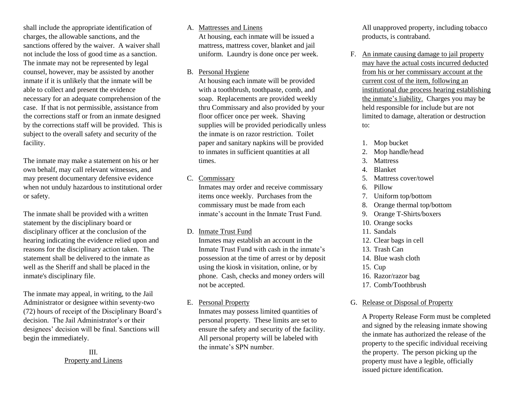shall include the appropriate identification of charges, the allowable sanctions, and the sanctions offered by the waiver. A waiver shall not include the loss of good time as a sanction. The inmate may not be represented by legal counsel, however, may be assisted by another inmate if it is unlikely that the inmate will be able to collect and present the evidence necessary for an adequate comprehension of the case. If that is not permissible, assistance from the corrections staff or from an inmate designed by the corrections staff will be provided. This is subject to the overall safety and security of the facility.

The inmate may make a statement on his or her own behalf, may call relevant witnesses, and may present documentary defensive evidence when not unduly hazardous to institutional order or safety.

The inmate shall be provided with a written statement by the disciplinary board or disciplinary officer at the conclusion of the hearing indicating the evidence relied upon and reasons for the disciplinary action taken. The statement shall be delivered to the inmate as well as the Sheriff and shall be placed in the inmate's disciplinary file.

The inmate may appeal, in writing, to the Jail Administrator or designee within seventy-two (72) hours of receipt of the Disciplinary Board's decision. The Jail Administrator's or their designees' decision will be final. Sanctions will begin the immediately.

### III. Property and Linens

#### A. Mattresses and Linens

At housing, each inmate will be issued a mattress, mattress cover, blanket and jail uniform. Laundry is done once per week.

#### B. Personal Hygiene

At housing each inmate will be provided with a toothbrush, toothpaste, comb, and soap. Replacements are provided weekly thru Commissary and also provided by your floor officer once per week. Shaving supplies will be provided periodically unless the inmate is on razor restriction. Toilet paper and sanitary napkins will be provided to inmates in sufficient quantities at all times.

#### C. Commissary

Inmates may order and receive commissary items once weekly. Purchases from the commissary must be made from each inmate's account in the Inmate Trust Fund.

#### D. Inmate Trust Fund

Inmates may establish an account in the Inmate Trust Fund with cash in the inmate's possession at the time of arrest or by deposit using the kiosk in visitation, online, or by phone. Cash, checks and money orders will not be accepted.

#### E. Personal Property

Inmates may possess limited quantities of personal property. These limits are set to ensure the safety and security of the facility. All personal property will be labeled with the inmate's SPN number.

All unapproved property, including tobacco products, is contraband.

- F. An inmate causing damage to jail property may have the actual costs incurred deducted from his or her commissary account at the current cost of the item, following an institutional due process hearing establishing the inmate's liability. Charges you may be held responsible for include but are not limited to damage, alteration or destruction to:
	- 1. Mop bucket
	- 2. Mop handle/head
	- 3. Mattress
	- 4. Blanket
	- 5. Mattress cover/towel
	- 6. Pillow
	- 7. Uniform top/bottom
	- 8. Orange thermal top/bottom
	- 9. Orange T-Shirts/boxers
	- 10. Orange socks
	- 11. Sandals
	- 12. Clear bags in cell
	- 13. Trash Can
	- 14. Blue wash cloth
	- 15. Cup
	- 16. Razor/razor bag
	- 17. Comb/Toothbrush

# G. Release or Disposal of Property

A Property Release Form must be completed and signed by the releasing inmate showing the inmate has authorized the release of the property to the specific individual receiving the property. The person picking up the property must have a legible, officially issued picture identification.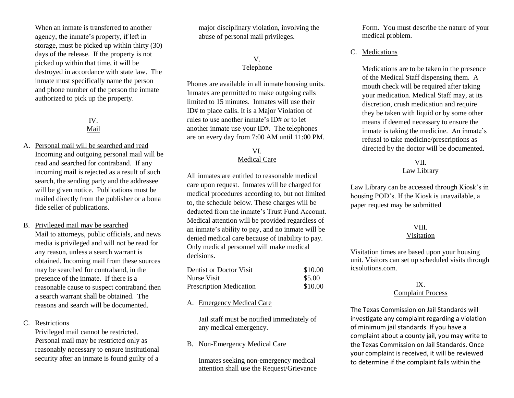When an inmate is transferred to another agency, the inmate's property, if left in storage, must be picked up within thirty (30) days of the release. If the property is not picked up within that time, it will be destroyed in accordance with state law. The inmate must specifically name the person and phone number of the person the inmate authorized to pick up the property.

### IV. Mail

A. Personal mail will be searched and read Incoming and outgoing personal mail will be read and searched for contraband. If any incoming mail is rejected as a result of such search, the sending party and the addressee will be given notice. Publications must be mailed directly from the publisher or a bona fide seller of publications.

#### B. Privileged mail may be searched

Mail to attorneys, public officials, and news media is privileged and will not be read for any reason, unless a search warrant is obtained. Incoming mail from these sources may be searched for contraband, in the presence of the inmate. If there is a reasonable cause to suspect contraband then a search warrant shall be obtained. The reasons and search will be documented.

C. Restrictions

Privileged mail cannot be restricted. Personal mail may be restricted only as reasonably necessary to ensure institutional security after an inmate is found guilty of a major disciplinary violation, involving the abuse of personal mail privileges.

### V. **Telephone**

Phones are available in all inmate housing units. Inmates are permitted to make outgoing calls limited to 15 minutes. Inmates will use their ID# to place calls. It is a Major Violation of rules to use another inmate's ID# or to let another inmate use your ID#. The telephones are on every day from 7:00 AM until 11:00 PM.

### VI. Medical Care

All inmates are entitled to reasonable medical care upon request. Inmates will be charged for medical procedures according to, but not limited to, the schedule below. These charges will be deducted from the inmate's Trust Fund Account. Medical attention will be provided regardless of an inmate's ability to pay, and no inmate will be denied medical care because of inability to pay. Only medical personnel will make medical decisions.

| Dentist or Doctor Visit        | \$10.00 |
|--------------------------------|---------|
| Nurse Visit                    | \$5.00  |
| <b>Prescription Medication</b> | \$10.00 |

#### A. Emergency Medical Care

Jail staff must be notified immediately of any medical emergency.

#### B. Non-Emergency Medical Care

Inmates seeking non-emergency medical attention shall use the Request/Grievance Form. You must describe the nature of your medical problem.

### C. Medications

Medications are to be taken in the presence of the Medical Staff dispensing them. A mouth check will be required after taking your medication. Medical Staff may, at its discretion, crush medication and require they be taken with liquid or by some other means if deemed necessary to ensure the inmate is taking the medicine. An inmate's refusal to take medicine/prescriptions as directed by the doctor will be documented.

### VII.

### Law Library

Law Library can be accessed through Kiosk's in housing POD's. If the Kiosk is unavailable, a paper request may be submitted

#### VIII.

#### Visitation

Visitation times are based upon your housing unit. Visitors can set up scheduled visits through icsolutions.com.

#### IX. Complaint Process

The Texas Commission on Jail Standards will investigate any complaint regarding a violation of minimum jail standards. If you have a complaint about a county jail, you may write to the Texas Commission on Jail Standards. Once your complaint is received, it will be reviewed to determine if the complaint falls within the